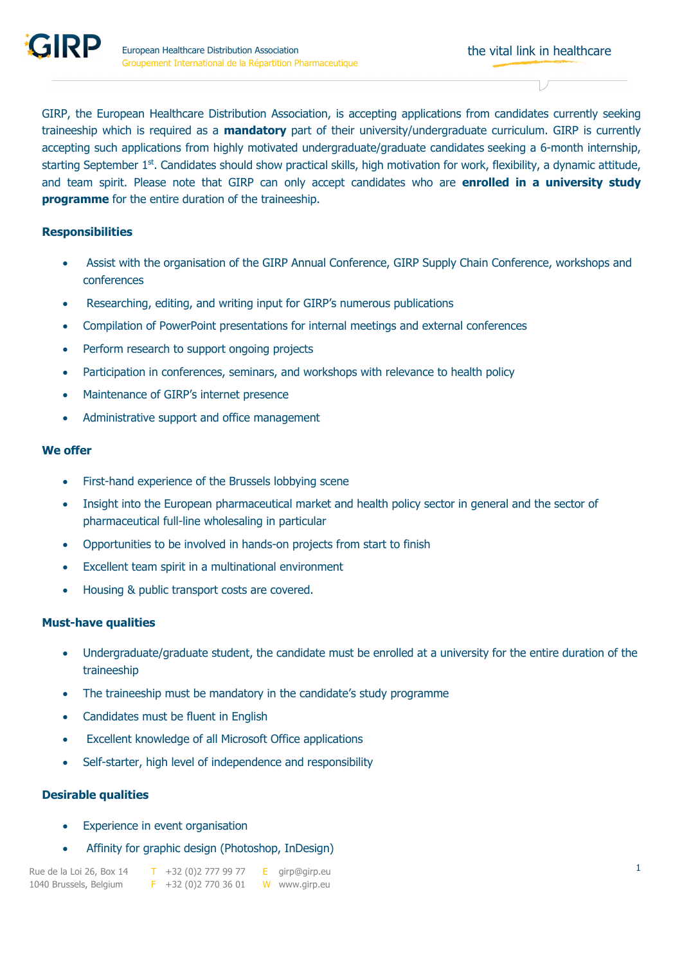GIRP, the European Healthcare Distribution Association, is accepting applications from candidates currently seeking traineeship which is required as a **mandatory** part of their university/undergraduate curriculum. GIRP is currently accepting such applications from highly motivated undergraduate/graduate candidates seeking a 6-month internship, starting September 1<sup>st</sup>. Candidates should show practical skills, high motivation for work, flexibility, a dynamic attitude, and team spirit. Please note that GIRP can only accept candidates who are **enrolled in a university study programme** for the entire duration of the traineeship.

## **Responsibilities**

- Assist with the organisation of the GIRP Annual Conference, GIRP Supply Chain Conference, workshops and conferences
- Researching, editing, and writing input for GIRP's numerous publications
- Compilation of PowerPoint presentations for internal meetings and external conferences
- Perform research to support ongoing projects
- Participation in conferences, seminars, and workshops with relevance to health policy
- Maintenance of GIRP's internet presence
- Administrative support and office management

## **We offer**

- First-hand experience of the Brussels lobbying scene
- Insight into the European pharmaceutical market and health policy sector in general and the sector of pharmaceutical full-line wholesaling in particular
- Opportunities to be involved in hands-on projects from start to finish
- Excellent team spirit in a multinational environment
- Housing & public transport costs are covered.

## **Must-have qualities**

- Undergraduate/graduate student, the candidate must be enrolled at a university for the entire duration of the traineeship
- The traineeship must be mandatory in the candidate's study programme
- Candidates must be fluent in English
- Excellent knowledge of all Microsoft Office applications
- Self-starter, high level of independence and responsibility

## **Desirable qualities**

- Experience in event organisation
- Affinity for graphic design (Photoshop, InDesign)

Rue de la Loi 26, Box 14  $\overline{I}$  +32 (0)2 777 99 77  $\overline{E}$  girp@girp.eu 1040 Brussels, Belgium F +32 (0)2 770 36 01 W www.girp.eu